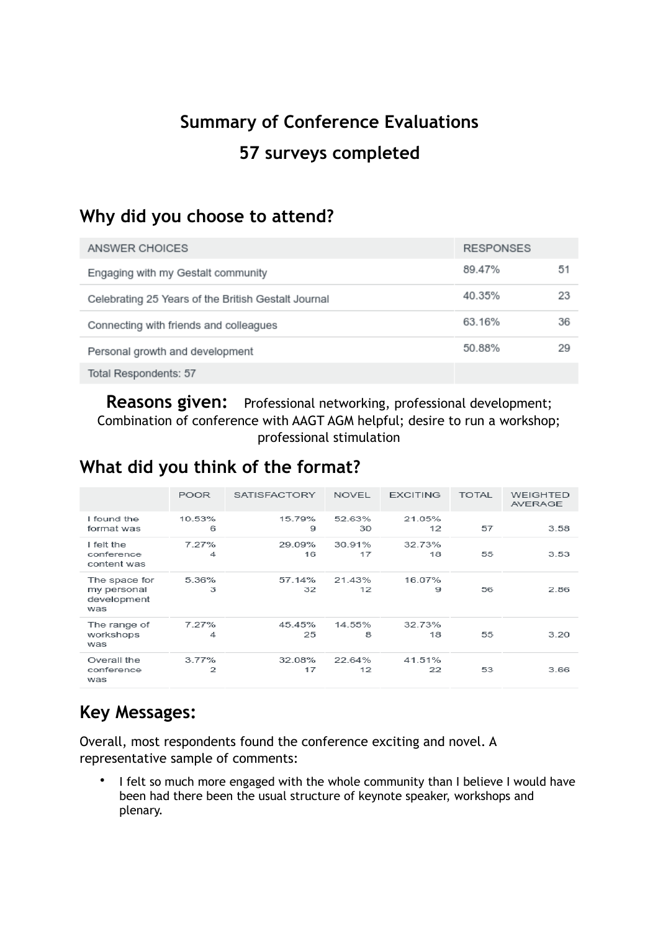# **Summary of Conference Evaluations 57 surveys completed**

# **Why did you choose to attend?**

| ANSWER CHOICES                                      | <b>RESPONSES</b> |    |
|-----------------------------------------------------|------------------|----|
| Engaging with my Gestalt community                  | 89.47%           | 51 |
| Celebrating 25 Years of the British Gestalt Journal | 40.35%           | 23 |
| Connecting with friends and colleagues              | 63.16%           | 36 |
| Personal growth and development                     | 50.88%           | 29 |
| Total Respondents: 57                               |                  |    |

**Reasons given:** Professional networking, professional development; Combination of conference with AAGT AGM helpful; desire to run a workshop; professional stimulation

### **What did you think of the format?**

|                                                    | <b>POOR</b> | <b>SATISFACTORY</b> | <b>NOVEL</b> | <b>EXCITING</b> | <b>TOTAL</b> | <b>WEIGHTED</b><br><b>AVERAGE</b> |
|----------------------------------------------------|-------------|---------------------|--------------|-----------------|--------------|-----------------------------------|
| I found the<br>format was                          | 10.53%<br>6 | 15.79%<br>9         | 52.63%<br>30 | 21.05%<br>12    | 57           | 3.58                              |
| I felt the<br>conference<br>content was            | 7.27%<br>4  | 29.09%<br>16        | 30.91%<br>17 | 32.73%<br>18    | 55           | 3.53                              |
| The space for<br>my personal<br>development<br>was | 5.36%<br>3  | 57.14%<br>32        | 21.43%<br>12 | 16.07%<br>9     | 56           | 2.86                              |
| The range of<br>workshops<br>was                   | 7.27%<br>4  | 45.45%<br>25        | 14.55%<br>8  | 32.73%<br>18    | 55           | 3.20                              |
| Overall the<br>conference<br>was                   | 3.77%<br>2  | 32.08%<br>17        | 22.64%<br>12 | 41.51%<br>22    | 53           | 3.66                              |

# **Key Messages:**

Overall, most respondents found the conference exciting and novel. A representative sample of comments:

• I felt so much more engaged with the whole community than I believe I would have been had there been the usual structure of keynote speaker, workshops and plenary.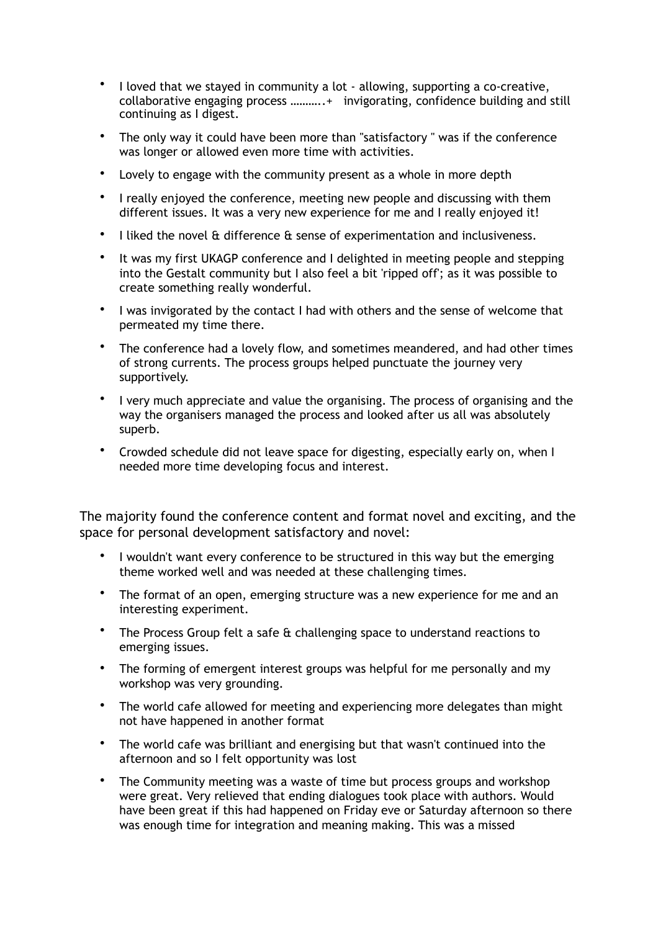- I loved that we stayed in community a lot allowing, supporting a co-creative, collaborative engaging process ………..+ invigorating, confidence building and still continuing as I digest.
- The only way it could have been more than "satisfactory " was if the conference was longer or allowed even more time with activities.
- Lovely to engage with the community present as a whole in more depth
- I really enjoyed the conference, meeting new people and discussing with them different issues. It was a very new experience for me and I really enjoyed it!
- I liked the novel & difference & sense of experimentation and inclusiveness.
- It was my first UKAGP conference and I delighted in meeting people and stepping into the Gestalt community but I also feel a bit 'ripped off'; as it was possible to create something really wonderful.
- I was invigorated by the contact I had with others and the sense of welcome that permeated my time there.
- The conference had a lovely flow, and sometimes meandered, and had other times of strong currents. The process groups helped punctuate the journey very supportively.
- I very much appreciate and value the organising. The process of organising and the way the organisers managed the process and looked after us all was absolutely superb.
- Crowded schedule did not leave space for digesting, especially early on, when I needed more time developing focus and interest.

The majority found the conference content and format novel and exciting, and the space for personal development satisfactory and novel:

- I wouldn't want every conference to be structured in this way but the emerging theme worked well and was needed at these challenging times.
- The format of an open, emerging structure was a new experience for me and an interesting experiment.
- The Process Group felt a safe & challenging space to understand reactions to emerging issues.
- The forming of emergent interest groups was helpful for me personally and my workshop was very grounding.
- The world cafe allowed for meeting and experiencing more delegates than might not have happened in another format
- The world cafe was brilliant and energising but that wasn't continued into the afternoon and so I felt opportunity was lost
- The Community meeting was a waste of time but process groups and workshop were great. Very relieved that ending dialogues took place with authors. Would have been great if this had happened on Friday eve or Saturday afternoon so there was enough time for integration and meaning making. This was a missed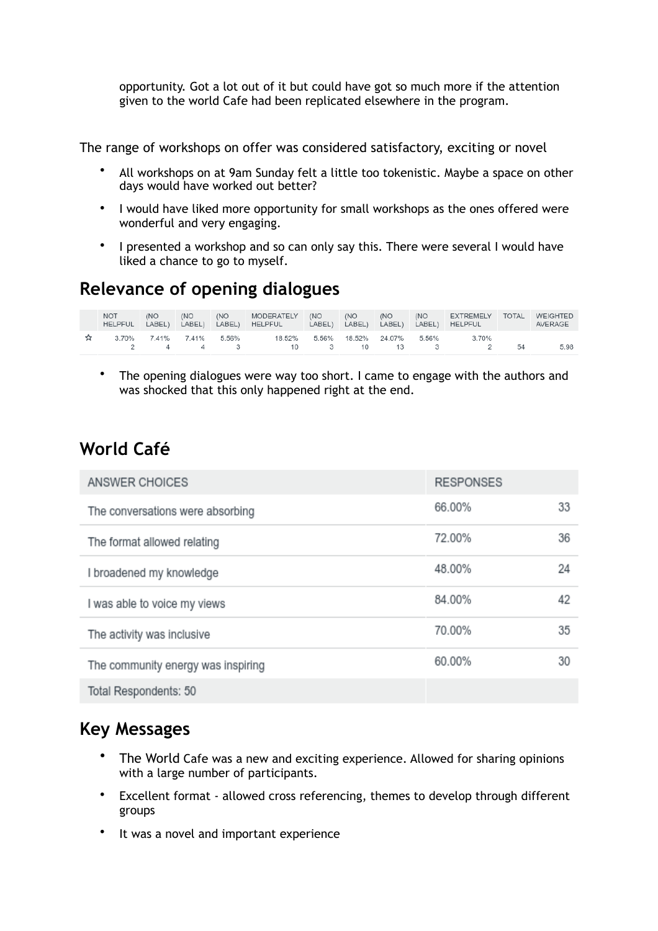opportunity. Got a lot out of it but could have got so much more if the attention given to the world Cafe had been replicated elsewhere in the program.

The range of workshops on offer was considered satisfactory, exciting or novel

- All workshops on at 9am Sunday felt a little too tokenistic. Maybe a space on other days would have worked out better?
- I would have liked more opportunity for small workshops as the ones offered were wonderful and very engaging.
- I presented a workshop and so can only say this. There were several I would have liked a chance to go to myself.

#### **Relevance of opening dialogues**

|              | <b>NOT</b><br>HELPFUL LABEL) | (NO | (NO<br>LABEL)                      | (NO<br>LABEL) | MODERATELY (NO<br>HELPFUL LABEL) LABEL) LABEL) |                           | (NO | (NO | (NO<br>LABEL) | <b>EXTREMELY</b><br><b>HELPFUL</b> | <b>TOTAL</b> | WEIGHTED<br>AVERAGE |
|--------------|------------------------------|-----|------------------------------------|---------------|------------------------------------------------|---------------------------|-----|-----|---------------|------------------------------------|--------------|---------------------|
| $\mathbf{z}$ |                              |     | 3.70% 7.41% 7.41% 5.56%<br>2 4 4 3 |               | 18.52%<br>10 3 10 13 3                         | 5.56% 18.52% 24.07% 5.56% |     |     |               | 3.70%<br>$\sim$ 2                  | 54           | 5.98                |

• The opening dialogues were way too short. I came to engage with the authors and was shocked that this only happened right at the end.

#### **World Café**

| ANSWER CHOICES                     | <b>RESPONSES</b> |    |
|------------------------------------|------------------|----|
| The conversations were absorbing   | 66.00%           | 33 |
| The format allowed relating        | 72.00%           | 36 |
| I broadened my knowledge           | 48.00%           | 24 |
| I was able to voice my views       | 84.00%           | 42 |
| The activity was inclusive         | 70.00%           | 35 |
| The community energy was inspiring | 60.00%           | 30 |
| Total Respondents: 50              |                  |    |

#### **Key Messages**

- The World Cafe was a new and exciting experience. Allowed for sharing opinions with a large number of participants.
- Excellent format allowed cross referencing, themes to develop through different groups
- It was a novel and important experience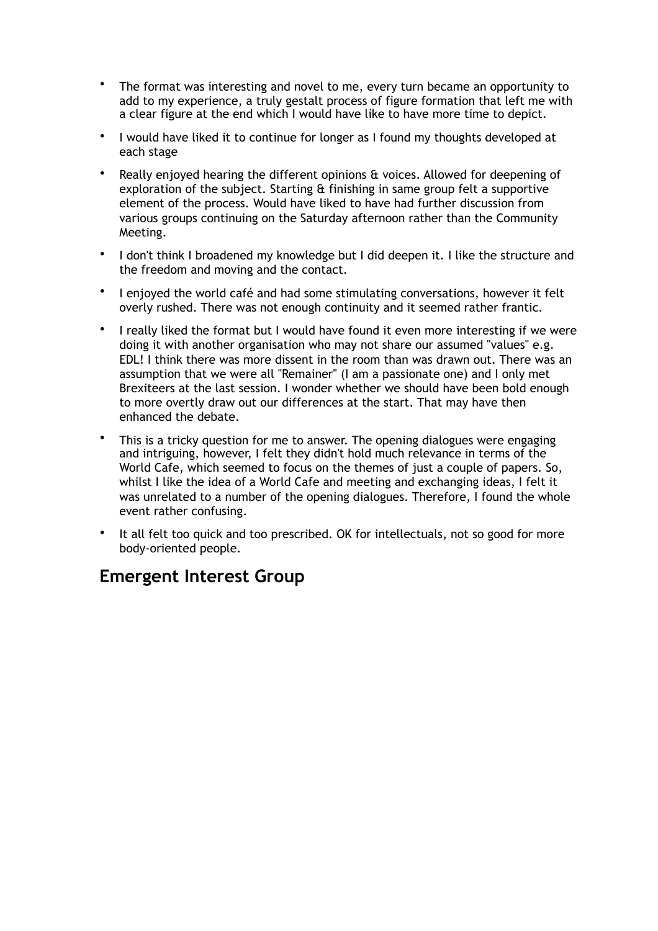- The format was interesting and novel to me, every turn became an opportunity to add to my experience, a truly gestalt process of figure formation that left me with a clear figure at the end which I would have like to have more time to depict.
- I would have liked it to continue for longer as I found my thoughts developed at each stage
- Really enjoyed hearing the different opinions & voices. Allowed for deepening of exploration of the subject. Starting & finishing in same group felt a supportive element of the process. Would have liked to have had further discussion from various groups continuing on the Saturday afternoon rather than the Community Meeting.
- I don't think I broadened my knowledge but I did deepen it. I like the structure and the freedom and moving and the contact.
- I enjoyed the world café and had some stimulating conversations, however it felt overly rushed. There was not enough continuity and it seemed rather frantic.
- I really liked the format but I would have found it even more interesting if we were doing it with another organisation who may not share our assumed "values" e.g. EDL! I think there was more dissent in the room than was drawn out. There was an assumption that we were all "Remainer" (I am a passionate one) and I only met Brexiteers at the last session. I wonder whether we should have been bold enough to more overtly draw out our differences at the start. That may have then enhanced the debate.
- This is a tricky question for me to answer. The opening dialogues were engaging and intriguing, however, I felt they didn't hold much relevance in terms of the World Cafe, which seemed to focus on the themes of just a couple of papers. So, whilst I like the idea of a World Cafe and meeting and exchanging ideas, I felt it was unrelated to a number of the opening dialogues. Therefore, I found the whole event rather confusing.
- It all felt too quick and too prescribed. OK for intellectuals, not so good for more body-oriented people.

#### **Emergent Interest Group**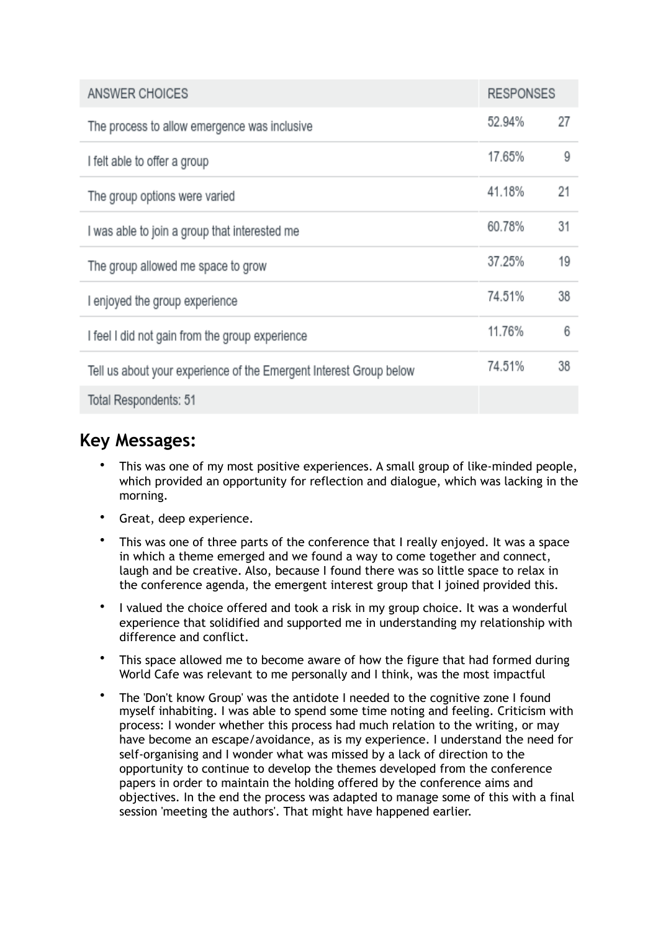| ANSWER CHOICES                                                     | <b>RESPONSES</b> |    |
|--------------------------------------------------------------------|------------------|----|
| The process to allow emergence was inclusive                       | 52.94%           | 27 |
| I felt able to offer a group                                       | 17.65%           | 9  |
| The group options were varied                                      | 41.18%           | 21 |
| I was able to join a group that interested me                      | 60.78%           | 31 |
| The group allowed me space to grow                                 | 37.25%           | 19 |
| I enjoyed the group experience                                     | 74.51%           | 38 |
| I feel I did not gain from the group experience                    | 11.76%           | 6  |
| Tell us about your experience of the Emergent Interest Group below | 74.51%           | 38 |
| Total Respondents: 51                                              |                  |    |

#### **Key Messages:**

- This was one of my most positive experiences. A small group of like-minded people, which provided an opportunity for reflection and dialogue, which was lacking in the morning.
- Great, deep experience.
- This was one of three parts of the conference that I really enjoyed. It was a space in which a theme emerged and we found a way to come together and connect, laugh and be creative. Also, because I found there was so little space to relax in the conference agenda, the emergent interest group that I joined provided this.
- I valued the choice offered and took a risk in my group choice. It was a wonderful experience that solidified and supported me in understanding my relationship with difference and conflict.
- This space allowed me to become aware of how the figure that had formed during World Cafe was relevant to me personally and I think, was the most impactful
- The 'Don't know Group' was the antidote I needed to the cognitive zone I found myself inhabiting. I was able to spend some time noting and feeling. Criticism with process: I wonder whether this process had much relation to the writing, or may have become an escape/avoidance, as is my experience. I understand the need for self-organising and I wonder what was missed by a lack of direction to the opportunity to continue to develop the themes developed from the conference papers in order to maintain the holding offered by the conference aims and objectives. In the end the process was adapted to manage some of this with a final session 'meeting the authors'. That might have happened earlier.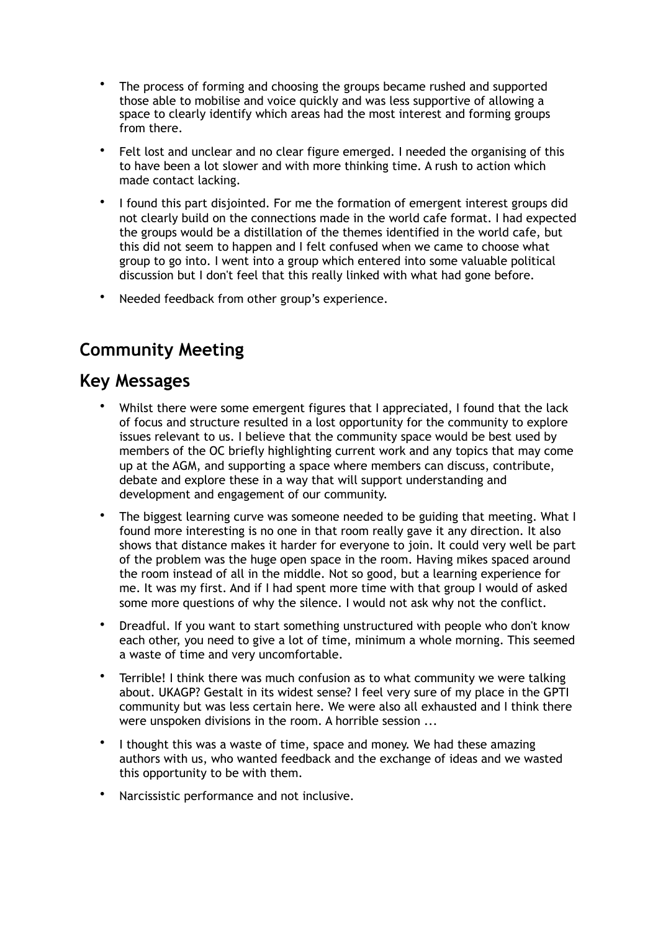- The process of forming and choosing the groups became rushed and supported those able to mobilise and voice quickly and was less supportive of allowing a space to clearly identify which areas had the most interest and forming groups from there.
- Felt lost and unclear and no clear figure emerged. I needed the organising of this to have been a lot slower and with more thinking time. A rush to action which made contact lacking.
- I found this part disjointed. For me the formation of emergent interest groups did not clearly build on the connections made in the world cafe format. I had expected the groups would be a distillation of the themes identified in the world cafe, but this did not seem to happen and I felt confused when we came to choose what group to go into. I went into a group which entered into some valuable political discussion but I don't feel that this really linked with what had gone before.
- Needed feedback from other group's experience.

## **Community Meeting**

#### **Key Messages**

- Whilst there were some emergent figures that I appreciated, I found that the lack of focus and structure resulted in a lost opportunity for the community to explore issues relevant to us. I believe that the community space would be best used by members of the OC briefly highlighting current work and any topics that may come up at the AGM, and supporting a space where members can discuss, contribute, debate and explore these in a way that will support understanding and development and engagement of our community.
- The biggest learning curve was someone needed to be guiding that meeting. What I found more interesting is no one in that room really gave it any direction. It also shows that distance makes it harder for everyone to join. It could very well be part of the problem was the huge open space in the room. Having mikes spaced around the room instead of all in the middle. Not so good, but a learning experience for me. It was my first. And if I had spent more time with that group I would of asked some more questions of why the silence. I would not ask why not the conflict.
- Dreadful. If you want to start something unstructured with people who don't know each other, you need to give a lot of time, minimum a whole morning. This seemed a waste of time and very uncomfortable.
- Terrible! I think there was much confusion as to what community we were talking about. UKAGP? Gestalt in its widest sense? I feel very sure of my place in the GPTI community but was less certain here. We were also all exhausted and I think there were unspoken divisions in the room. A horrible session ...
- I thought this was a waste of time, space and money. We had these amazing authors with us, who wanted feedback and the exchange of ideas and we wasted this opportunity to be with them.
- Narcissistic performance and not inclusive.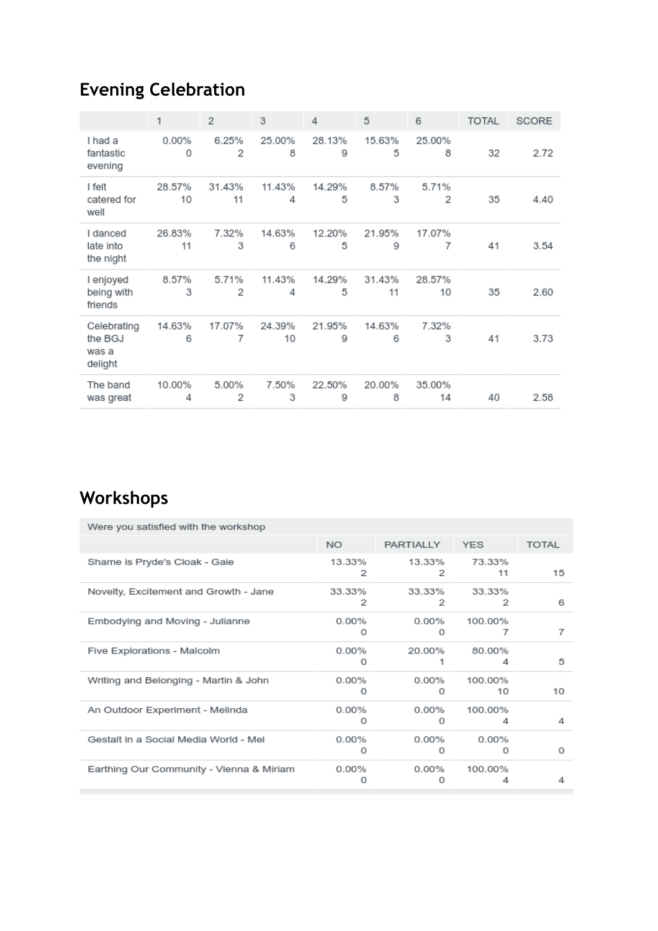# **Evening Celebration**

|                                            | 1            | 2            | 3            | 4           | 5            | 6            | <b>TOTAL</b> | <b>SCORE</b> |
|--------------------------------------------|--------------|--------------|--------------|-------------|--------------|--------------|--------------|--------------|
| I had a<br>fantastic<br>evening            | 0.00%<br>0   | 6.25%<br>2   | 25.00%<br>8  | 28.13%<br>9 | 15.63%<br>5  | 25.00%<br>8  | 32           | 2.72         |
| I felt<br>catered for<br>well              | 28.57%<br>10 | 31.43%<br>11 | 11.43%<br>4  | 14.29%<br>5 | 8.57%<br>3   | 5.71%<br>2   | 35           | 4.40         |
| I danced<br>late into<br>the night         | 26.83%<br>11 | 7.32%<br>3   | 14.63%<br>6  | 12.20%<br>5 | 21.95%<br>9  | 17.07%<br>7  | 41           | 3.54         |
| I enjoyed<br>being with<br>friends         | 8.57%<br>3   | 5.71%<br>2   | 11.43%<br>4  | 14.29%<br>5 | 31.43%<br>11 | 28.57%<br>10 | 35           | 2.60         |
| Celebrating<br>the BGJ<br>was a<br>delight | 14.63%<br>6  | 17.07%<br>7  | 24.39%<br>10 | 21.95%<br>9 | 14.63%<br>6  | 7.32%<br>3   | 41           | 3.73         |
| The band<br>was great                      | 10.00%<br>4  | 5.00%<br>2   | 7.50%<br>3   | 22.50%<br>9 | 20.00%<br>8  | 35.00%<br>14 | 40           | 2.58         |

# **Workshops**

| Were you satisfied with the workshop     |               |                      |                   |              |
|------------------------------------------|---------------|----------------------|-------------------|--------------|
|                                          | NO.           | PARTIALLY YES        |                   | <b>TOTAL</b> |
| Shame is Pryde's Cloak - Gaie            | 13.33%<br>2   | 13.33%<br>2          | 73.33%<br>11      | 15           |
| Novelty, Excitement and Growth - Jane    | 33.33%<br>2   | 33.33%<br>2          | 33.33%<br>2       | 6            |
| Embodying and Moving - Julianne          | $0.00\%$<br>Ω | $0.00\%$<br>$\Omega$ | 100.00%<br>7      | 7            |
| Five Explorations - Malcolm              | 0.00%<br>0    | 20.00%               | 80.00%<br>4       | 5            |
| Writing and Belonging - Martin & John    | $0.00\%$<br>0 | 0.00%<br>0           | 100.00%<br>10     | 10           |
| An Outdoor Experiment - Melinda          | 0.00%<br>0    | $0.00\%$<br>0        | 100.00%<br>4      | 4            |
| Gestalt in a Social Media World - Mel    | 0.00%<br>0    | $0.00\%$<br>0        | 0.00%<br>$\Omega$ | 0            |
| Earthing Our Community - Vienna & Miriam | $0.00\%$<br>n | $0.00\%$<br>n        | 100.00%           | 4            |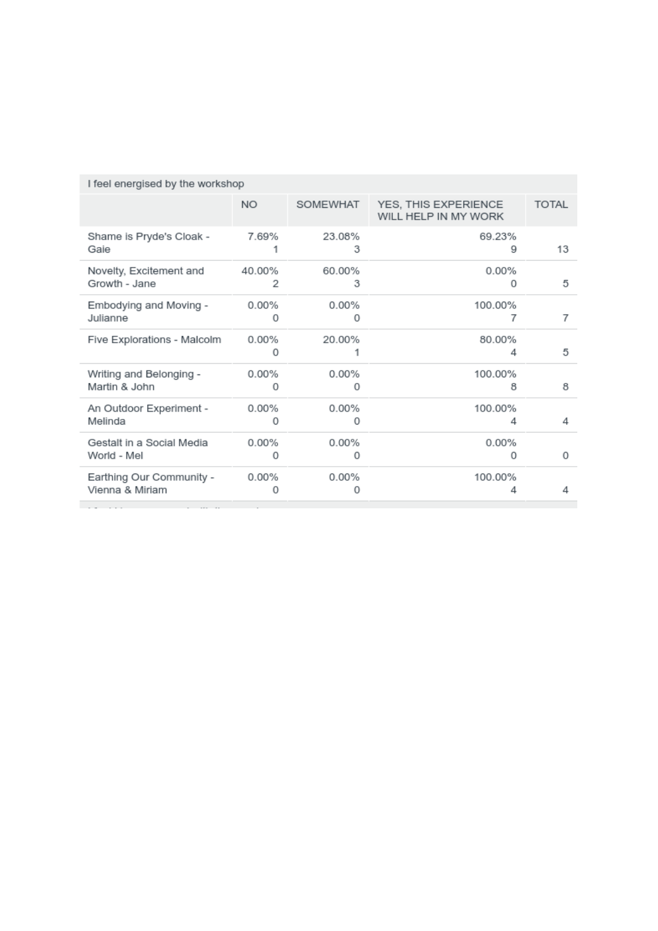|                                  | I feel energised by the workshop |             |                                              |              |  |  |  |  |
|----------------------------------|----------------------------------|-------------|----------------------------------------------|--------------|--|--|--|--|
|                                  | <b>NO</b>                        | SOMEWHAT    | YES, THIS EXPERIENCE<br>WILL HELP IN MY WORK | <b>TOTAL</b> |  |  |  |  |
| Shame is Pryde's Cloak -<br>Gaie | 7.69%                            | 23.08%<br>3 | 69.23%<br>9                                  | 13           |  |  |  |  |
| Novelty, Excitement and          | 40.00%                           | 60.00%      | 0.00%                                        | 5            |  |  |  |  |
| Growth - Jane                    | 2                                | 3           | 0                                            |              |  |  |  |  |
| Embodying and Moving -           | $0.00\%$                         | $0.00\%$    | 100.00%                                      | 7            |  |  |  |  |
| Julianne                         | 0                                | 0           | 7                                            |              |  |  |  |  |
| Five Explorations - Malcolm      | 0.00%<br>0                       | 20.00%      | 80.00%<br>4                                  | 5            |  |  |  |  |
| Writing and Belonging -          | $0.00\%$                         | $0.00\%$    | 100.00%                                      | 8            |  |  |  |  |
| Martin & John                    | 0                                | O           | 8                                            |              |  |  |  |  |
| An Outdoor Experiment -          | $0.00\%$                         | 0.00%       | 100.00%                                      | 4            |  |  |  |  |
| Melinda                          | 0                                | 0           | 4                                            |              |  |  |  |  |
| Gestalt in a Social Media        | 0.00%                            | 0.00%       | 0.00%                                        | 0            |  |  |  |  |
| World - Mel                      | $\Omega$                         | 0           | 0                                            |              |  |  |  |  |
| Earthing Our Community -         | $0.00\%$                         | $0.00\%$    | 100.00%                                      | Δ            |  |  |  |  |
| Vienna & Miriam                  | 0                                | Ω           | 4                                            |              |  |  |  |  |
|                                  |                                  |             |                                              |              |  |  |  |  |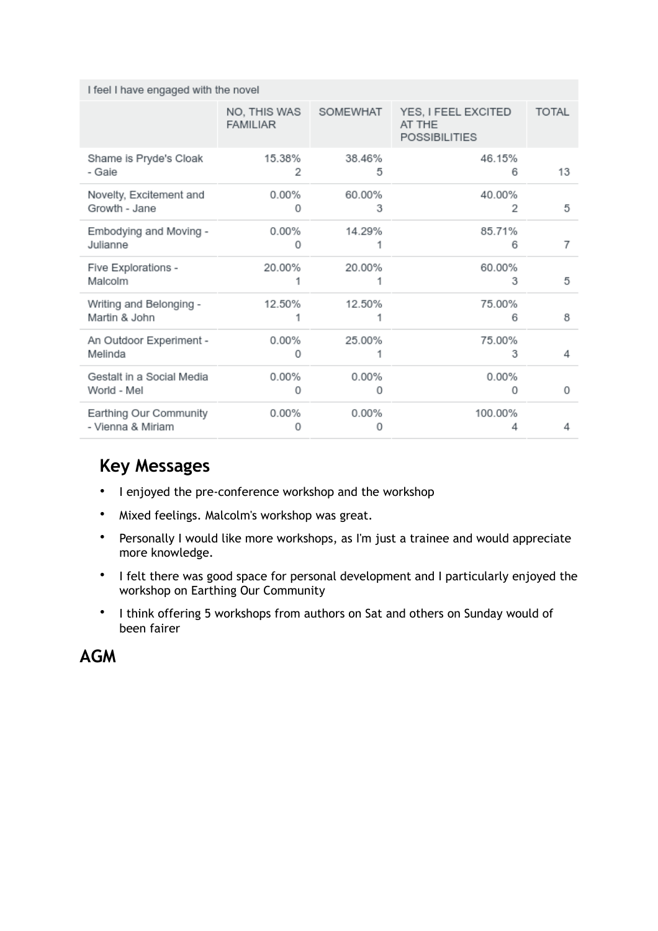| I feel I have engaged with the novel |  |  |
|--------------------------------------|--|--|
|--------------------------------------|--|--|

|                                             | NO, THIS WAS<br><b>FAMILIAR</b> | SOMEWHAT    | YES, I FEEL EXCITED<br>AT THE<br><b>POSSIBILITIES</b> | <b>TOTAL</b> |
|---------------------------------------------|---------------------------------|-------------|-------------------------------------------------------|--------------|
| Shame is Pryde's Cloak<br>- Gaie            | 15.38%<br>2                     | 38.46%<br>5 | 46.15%<br>6                                           | 13           |
| Novelty, Excitement and<br>Growth - Jane    | 0.00%<br>0                      | 60.00%<br>з | 40.00%<br>2                                           | 5            |
| Embodying and Moving -<br>Julianne          | $0.00\%$<br>Ω                   | 14.29%      | 85.71%<br>6                                           | 7            |
| Five Explorations -<br>Malcolm              | 20.00%                          | 20.00%      | 60.00%<br>3                                           | 5            |
| Writing and Belonging -<br>Martin & John    | 12.50%                          | 12.50%      | 75.00%<br>6                                           | 8            |
| An Outdoor Experiment -<br>Melinda          | $0.00\%$<br>Ω                   | 25.00%      | 75.00%<br>3                                           | 4            |
| Gestalt in a Social Media<br>World - Mel    | $0.00\%$<br>0                   | 0.00%<br>0  | $0.00\%$<br>0                                         | 0            |
| Earthing Our Community<br>- Vienna & Miriam | 0.00%<br>Ω                      | 0.00%<br>0  | 100.00%                                               | 4            |

#### **Key Messages**

- I enjoyed the pre-conference workshop and the workshop
- Mixed feelings. Malcolm's workshop was great.
- Personally I would like more workshops, as I'm just a trainee and would appreciate more knowledge.
- I felt there was good space for personal development and I particularly enjoyed the workshop on Earthing Our Community
- I think offering 5 workshops from authors on Sat and others on Sunday would of been fairer

**AGM**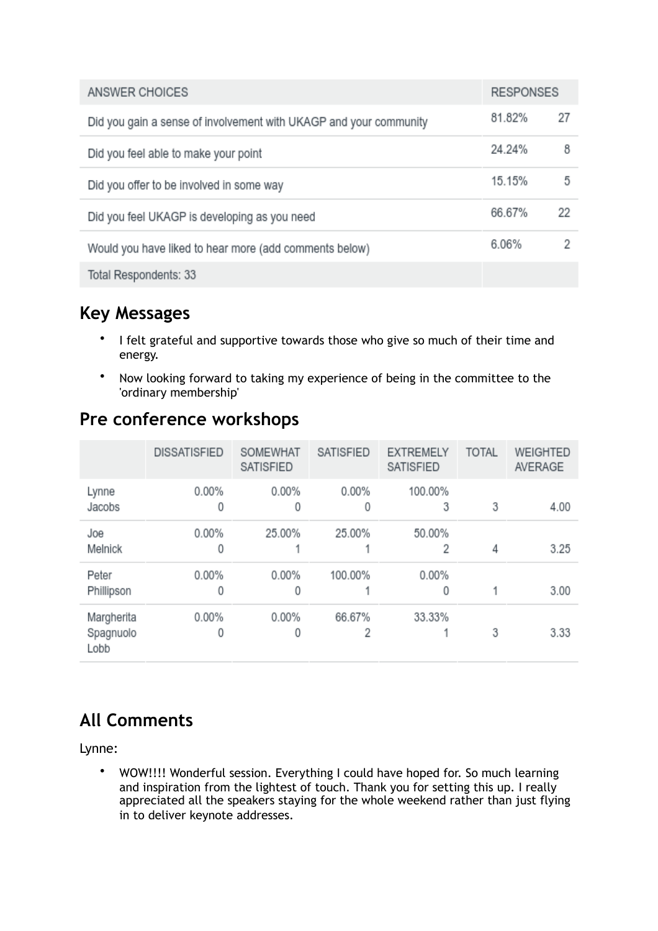| ANSWER CHOICES                                                    | <b>RESPONSES</b> |    |
|-------------------------------------------------------------------|------------------|----|
| Did you gain a sense of involvement with UKAGP and your community | 81.82%           | 27 |
| Did you feel able to make your point                              | 24.24%           | 8  |
| Did you offer to be involved in some way                          | 15.15%           | 5  |
| Did you feel UKAGP is developing as you need                      | 66.67%           | 22 |
| Would you have liked to hear more (add comments below)            | 6.06%            |    |
| Total Respondents: 33                                             |                  |    |

### **Key Messages**

- I felt grateful and supportive towards those who give so much of their time and energy.
- Now looking forward to taking my experience of being in the committee to the 'ordinary membership'

|                                 | <b>DISSATISFIED</b> | SOMEWHAT<br><b>SATISFIED</b> | <b>SATISFIED</b> | <b>EXTREMELY</b><br><b>SATISFIED</b> | <b>TOTAL</b> | WEIGHTED<br>AVERAGE |
|---------------------------------|---------------------|------------------------------|------------------|--------------------------------------|--------------|---------------------|
| Lynne<br>Jacobs                 | $0.00\%$<br>0       | $0.00\%$<br>0                | $0.00\%$<br>0    | 100.00%<br>3                         | 3            | 4.00                |
| Joe<br>Melnick                  | $0.00\%$<br>0       | 25.00%                       | 25.00%           | 50.00%<br>2                          | 4            | 3.25                |
| Peter<br>Phillipson             | $0.00\%$<br>0       | 0.00%<br>0                   | 100.00%          | $0.00\%$<br>0                        |              | 3.00                |
| Margherita<br>Spagnuolo<br>Lobb | 0.00%<br>0          | $0.00\%$<br>0                | 66.67%<br>2      | 33.33%                               | 3            | 3.33                |

#### **Pre conference workshops**

# **All Comments**

Lynne:

• WOW!!!! Wonderful session. Everything I could have hoped for. So much learning and inspiration from the lightest of touch. Thank you for setting this up. I really appreciated all the speakers staying for the whole weekend rather than just flying in to deliver keynote addresses.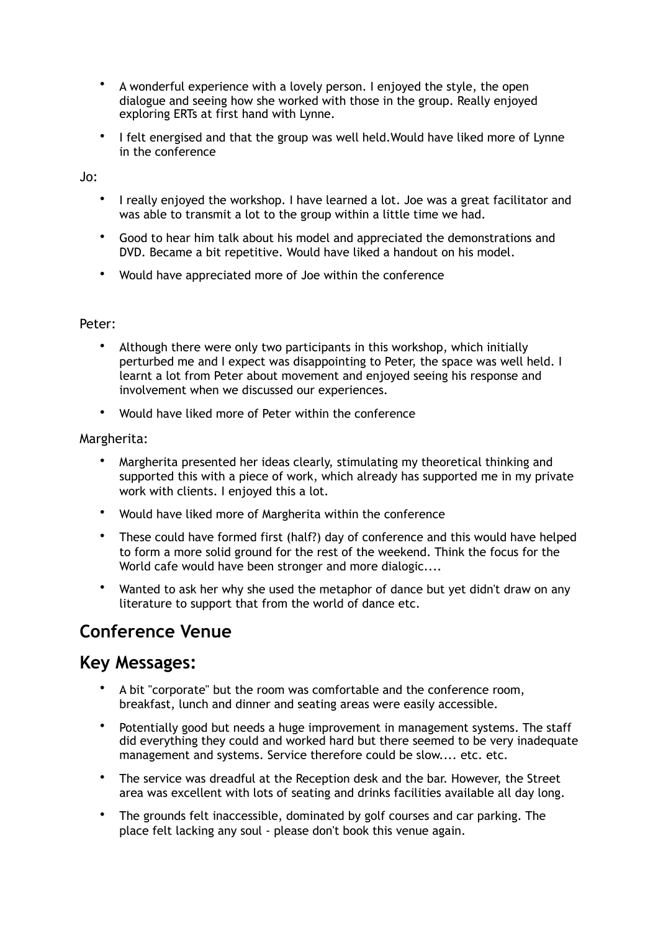- A wonderful experience with a lovely person. I enjoyed the style, the open dialogue and seeing how she worked with those in the group. Really enjoyed exploring ERTs at first hand with Lynne.
- I felt energised and that the group was well held.Would have liked more of Lynne in the conference

Jo:

- I really enjoyed the workshop. I have learned a lot. Joe was a great facilitator and was able to transmit a lot to the group within a little time we had.
- Good to hear him talk about his model and appreciated the demonstrations and DVD. Became a bit repetitive. Would have liked a handout on his model.
- Would have appreciated more of Joe within the conference

#### Peter:

- Although there were only two participants in this workshop, which initially perturbed me and I expect was disappointing to Peter, the space was well held. I learnt a lot from Peter about movement and enjoyed seeing his response and involvement when we discussed our experiences.
- Would have liked more of Peter within the conference

#### Margherita:

- Margherita presented her ideas clearly, stimulating my theoretical thinking and supported this with a piece of work, which already has supported me in my private work with clients. I enjoyed this a lot.
- Would have liked more of Margherita within the conference
- These could have formed first (half?) day of conference and this would have helped to form a more solid ground for the rest of the weekend. Think the focus for the World cafe would have been stronger and more dialogic....
- Wanted to ask her why she used the metaphor of dance but yet didn't draw on any literature to support that from the world of dance etc.

#### **Conference Venue**

#### **Key Messages:**

- A bit "corporate" but the room was comfortable and the conference room, breakfast, lunch and dinner and seating areas were easily accessible.
- Potentially good but needs a huge improvement in management systems. The staff did everything they could and worked hard but there seemed to be very inadequate management and systems. Service therefore could be slow.... etc. etc.
- The service was dreadful at the Reception desk and the bar. However, the Street area was excellent with lots of seating and drinks facilities available all day long.
- The grounds felt inaccessible, dominated by golf courses and car parking. The place felt lacking any soul - please don't book this venue again.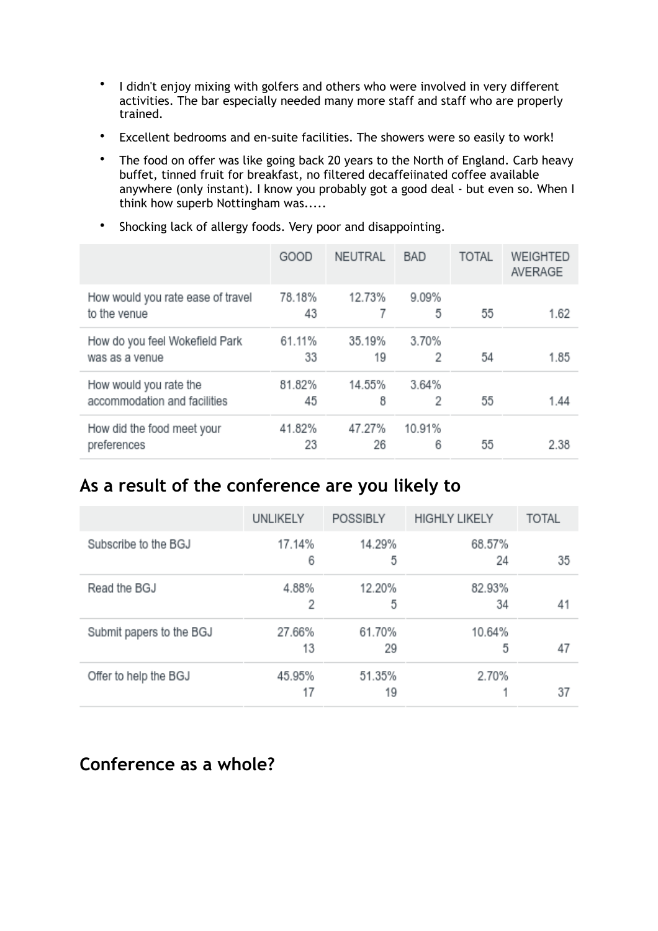- I didn't enjoy mixing with golfers and others who were involved in very different activities. The bar especially needed many more staff and staff who are properly trained.
- Excellent bedrooms and en-suite facilities. The showers were so easily to work!
- The food on offer was like going back 20 years to the North of England. Carb heavy buffet, tinned fruit for breakfast, no filtered decaffeiinated coffee available anywhere (only instant). I know you probably got a good deal - but even so. When I think how superb Nottingham was.....

|                                                        | GOOD         | <b>NEUTRAL</b> | <b>BAD</b>  | <b>TOTAL</b> | WEIGHTED<br>AVERAGE |
|--------------------------------------------------------|--------------|----------------|-------------|--------------|---------------------|
| How would you rate ease of travel<br>to the venue      | 78.18%<br>43 | 12.73%         | 9.09%<br>5  | 55           | 1.62                |
| How do you feel Wokefield Park<br>was as a venue       | 61.11%<br>33 | 35.19%<br>19   | 3.70%<br>2  | 54           | 1.85                |
| How would you rate the<br>accommodation and facilities | 81.82%<br>45 | 14.55%<br>8    | 3.64%<br>2  | 55           | 1.44                |
| How did the food meet your<br>preferences              | 41.82%<br>23 | 47.27%<br>26   | 10.91%<br>6 | 55           | 2.38                |

• Shocking lack of allergy foods. Very poor and disappointing.

# **As a result of the conference are you likely to**

|                          | UNLIKELY     | <b>POSSIBLY</b> | <b>HIGHLY LIKELY</b> | <b>TOTAL</b> |
|--------------------------|--------------|-----------------|----------------------|--------------|
| Subscribe to the BGJ     | 17.14%<br>6  | 14.29%<br>5     | 68.57%<br>24         | 35           |
| Read the BGJ             | 4.88%<br>2   | 12.20%<br>5     | 82.93%<br>34         | 41           |
| Submit papers to the BGJ | 27.66%<br>13 | 61.70%<br>29    | 10.64%<br>5          | 47           |
| Offer to help the BGJ    | 45.95%<br>17 | 51.35%<br>19    | 2.70%                | 37           |

#### **Conference as a whole?**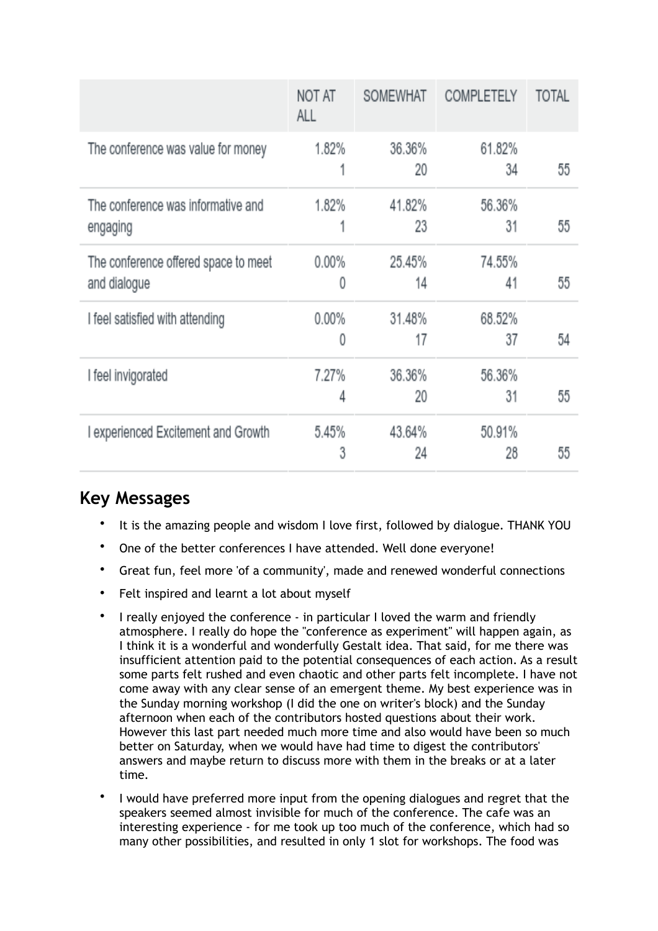|                                                      | NOT AT<br>ALL | SOMEWHAT     | COMPLETELY   | TOTAL |
|------------------------------------------------------|---------------|--------------|--------------|-------|
| The conference was value for money                   | 1.82%         | 36.36%<br>20 | 61.82%<br>34 | 55    |
| The conference was informative and<br>engaging       | 1.82%<br>1    | 41.82%<br>23 | 56.36%<br>31 | 55    |
| The conference offered space to meet<br>and dialogue | $0.00\%$<br>0 | 25.45%<br>14 | 74.55%<br>41 | 55    |
| I feel satisfied with attending                      | $0.00\%$<br>0 | 31.48%<br>17 | 68.52%<br>37 | 54    |
| I feel invigorated                                   | 7.27%<br>4    | 36.36%<br>20 | 56.36%<br>31 | 55    |
| I experienced Excitement and Growth                  | 5.45%<br>3    | 43.64%<br>24 | 50.91%<br>28 | 55    |

### **Key Messages**

- It is the amazing people and wisdom I love first, followed by dialogue. THANK YOU
- One of the better conferences I have attended. Well done everyone!
- Great fun, feel more 'of a community', made and renewed wonderful connections
- Felt inspired and learnt a lot about myself
- I really enjoyed the conference in particular I loved the warm and friendly atmosphere. I really do hope the "conference as experiment" will happen again, as I think it is a wonderful and wonderfully Gestalt idea. That said, for me there was insufficient attention paid to the potential consequences of each action. As a result some parts felt rushed and even chaotic and other parts felt incomplete. I have not come away with any clear sense of an emergent theme. My best experience was in the Sunday morning workshop (I did the one on writer's block) and the Sunday afternoon when each of the contributors hosted questions about their work. However this last part needed much more time and also would have been so much better on Saturday, when we would have had time to digest the contributors' answers and maybe return to discuss more with them in the breaks or at a later time.
- I would have preferred more input from the opening dialogues and regret that the speakers seemed almost invisible for much of the conference. The cafe was an interesting experience - for me took up too much of the conference, which had so many other possibilities, and resulted in only 1 slot for workshops. The food was